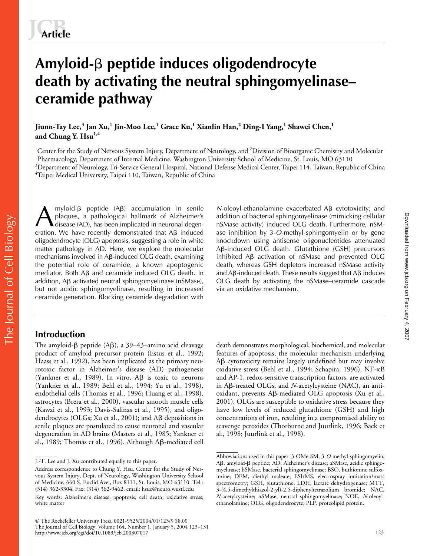# **Amyloid-**- **peptide induces oligodendrocyte death by activating the neutral sphingomyelinase– ceramide pathway**

**Jiunn-Tay Lee,<sup>3</sup> Jan Xu,<sup>1</sup> Jin-Moo Lee,<sup>1</sup> Grace Ku,<sup>1</sup> Xianlin Han,<sup>2</sup> Ding-I Yang,<sup>1</sup> Shawei Chen,<sup>1</sup> and Chung Y. Hsu1,4** 

<sup>1</sup>Center for the Study of Nervous System Injury, Department of Neurology, and <sup>2</sup>Division of Bioorganic Chemistry and Molecular Pharmacology, Department of Internal Medicine, Washington University School of Medicine, St. Louis, MO 63110  $^3$ Department of Neurology, Tri-Service General Hospital, National Defense Medical Center, Taipei 114, Taiwan, Republic of China  ${}^{4}$ Taipei Medical University, Taipei 110, Taiwan, Republic of China

myloid- $\beta$  peptide (A $\beta$ ) accumulation in senile M-oleoyl-ethanolamine exacerbated A $\beta$ <br>plaques, a pathological hallmark of Alzheimer's addition of bacterial sphingomyelinase (a), has been implicated in neuronal degen-<br> plaques, a pathological hallmark of Alzheimer's disease (AD), has been implicated in neuronal degeneration. We have recently demonstrated that  $\mathsf{AB}\;$  induced oligodendrocyte (OLG) apoptosis, suggesting a role in white matter pathology in AD. Here, we explore the molecular mechanisms involved in Aβ-induced OLG death, examining the potential role of ceramide, a known apoptogenic mediator. Both A $\beta$  and ceramide induced OLG death. In addition, A<sub>B</sub> activated neutral sphingomyelinase (nSMase), but not acidic sphingomyelinase, resulting in increased ceramide generation. Blocking ceramide degradation with

# **Introduction**

The amyloid- $\beta$  peptide (A $\beta$ ), a 39–43–amino acid cleavage product of amyloid precursor protein (Estus et al., 1992; Haass et al., 1992), has been implicated as the primary neurotoxic factor in Alzheimer's disease (AD) pathogenesis (Yankner et al., 1989). In vitro,  $\mathsf{AB}$  is toxic to neurons (Yankner et al., 1989; Behl et al., 1994; Yu et al., 1998), endothelial cells (Thomas et al., 1996; Huang et al., 1998), astrocytes (Brera et al., 2000), vascular smooth muscle cells (Kawai et al., 1993; Davis-Salinas et al., 1995), and oligodendrocytes (OLGs; Xu et al., 2001); and A $\beta$  depositions in senile plaques are postulated to cause neuronal and vascular degeneration in AD brains (Masters et al., 1985; Yankner et al., 1989; Thomas et al., 1996). Although Aß-mediated cell

 $N$ -oleoyl-ethanolamine exacerbated  $\overrightarrow{AB}$  cytotoxicity; and addition of bacterial sphingomyelinase (mimicking cellular nSMase activity) induced OLG death. Furthermore, nSMase inhibition by 3-*O*-methyl-sphingomyelin or by gene knockdown using antisense oligonucleotides attenuated Aβ-induced OLG death. Glutathione (GSH) precursors inhibited  $\overline{AB}$  activation of nSMase and prevented OLG death, whereas GSH depletors increased nSMase activity and Aβ-induced death. These results suggest that Aβ induces OLG death by activating the nSMase–ceramide cascade via an oxidative mechanism.

death demonstrates morphological, biochemical, and molecular features of apoptosis, the molecular mechanism underlying Aβ cytotoxicity remains largely undefined but may involve oxidative stress (Behl et al., 1994; Schapira, 1996). NF-KB and AP-1, redox-sensitive transcription factors, are activated in Aß-treated OLGs, and *N*-acetylcysteine (NAC), an antioxidant, prevents Aß-mediated OLG apoptosis (Xu et al., 2001). OLGs are susceptible to oxidative stress because they have low levels of reduced glutathione (GSH) and high concentrations of iron, resulting in a compromised ability to scavenge peroxides (Thorburne and Juurlink, 1996; Back et al., 1998; Juurlink et al., 1998).

J.-T. Lee and J. Xu contributed equally to this paper.

Address correspondence to Chung Y. Hsu, Center for the Study of Nervous System Injury, Dept. of Neurology, Washington University School of Medicine, 660 S. Euclid Ave., Box 8111, St. Louis, MO 63110. Tel.: (314) 362-3304. Fax: (314) 362-9462. email: hsuc@neuro.wustl.edu Key words: Alzheimer's disease; apoptosis; cell death; oxidative stress; white matter

Abbreviations used in this paper: 3-OMe-SM, 3-*O*-methyl-sphingomyelin; Aß, amyloid-ß peptide; AD, Alzheimer's disease; aSMase, acidic sphingomyelinase; bSMase, bacterial sphingomyelinase; BSO, buthionine sulfoximine; DEM, diethyl maleate; ESI/MS, electrospray ionization/mass spectrometry; GSH, glutathione; LDH, lactate dehydrogenase; MTT, 3-(4,5-dimethylthiazol-2-yl)-2,5-diphenyltetrazolium bromide; NAC, *N*-acetylcysteine; nSMase, neutral sphingomyelinase; NOE, *N*-oleoylethanolamine; OLG, oligodendrocyte; PLP, proteolipid protein.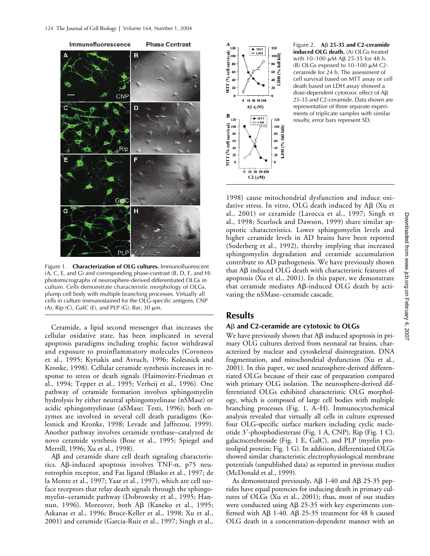

Figure 1. **Characterization of OLG cultures.** Immunofluorescent (A, C, E, and G) and corresponding phase-contrast (B, D, F, and H) photomicrographs of neurosphere-derived differentiated OLGs in culture. Cells demonstrate characteristic morphology of OLGs, plump cell body with multiple branching processes. Virtually all cells in culture immunostained for the OLG-specific antigens, CNP (A), Rip (C), GalC (E), and PLP (G). Bar, 30  $\mu$ m.

Ceramide, a lipid second messenger that increases the cellular oxidative state, has been implicated in several apoptosis paradigms including trophic factor withdrawal and exposure to proinflammatory molecules (Coroneos et al., 1995; Kyriakis and Avruch, 1996; Kolesnick and Kronke, 1998). Cellular ceramide synthesis increases in response to stress or death signals (Haimovitz-Friedman et al., 1994; Tepper et al., 1995; Verheij et al., 1996). One pathway of ceramide formation involves sphingomyelin hydrolysis by either neutral sphingomyelinase (nSMase) or acidic sphingomyelinase (aSMase; Testi, 1996); both enzymes are involved in several cell death paradigms (Kolesnick and Kronke, 1998; Levade and Jaffrezou, 1999). Another pathway involves ceramide synthase–catalyzed de novo ceramide synthesis (Bose et al., 1995; Spiegel and Merrill, 1996; Xu et al., 1998).

 $\mathsf{A}\mathsf{B}$  and ceramide share cell death signaling characteristics. A $\beta$ -induced apoptosis involves TNF- $\alpha$ , p75 neurotrophin receptor, and Fas ligand (Blasko et al., 1997; de la Monte et al., 1997; Yaar et al., 1997), which are cell surface receptors that relay death signals through the sphingomyelin–ceramide pathway (Dobrowsky et al., 1995; Hannun, 1996). Moreover, both Aβ (Kaneko et al., 1995; Askanas et al., 1996; Bruce-Keller et al., 1998; Xu et al., 2001) and ceramide (Garcia-Ruiz et al., 1997; Singh et al.,



Figure 2.  $\overrightarrow{AB}$  25-35 and C2-ceramide **induced OLG death.** (A) OLGs treated with 10–100 μM Aβ 25-35 for 48 h. (B) OLGs exposed to  $10-100 \mu M$  C2ceramide for 24 h. The assessment of cell survival based on MTT assay or cell death based on LDH assay showed a dose-dependent cytotoxic effect of A<sub>B</sub> 25-35 and C2-ceramide. Data shown are representative of three separate experiments of triplicate samples with similar results; error bars represent SD.

1998) cause mitochondrial dysfunction and induce oxidative stress. In vitro, OLG death induced by Aß (Xu et al., 2001) or ceramide (Larocca et al., 1997; Singh et al., 1998; Scurlock and Dawson, 1999) share similar apoptotic characteristics. Lower sphingomyelin levels and higher ceramide levels in AD brains have been reported (Soderberg et al., 1992), thereby implying that increased sphingomyelin degradation and ceramide accumulation contribute to AD pathogenesis. We have previously shown that Aß induced OLG death with characteristic features of apoptosis (Xu et al., 2001). In this paper, we demonstrate that ceramide mediates Aß-induced OLG death by activating the nSMase–ceramide cascade.

## **Results**

### **A**- **and C2-ceramide are cytotoxic to OLGs**

We have previously shown that  $\mathsf{A}\beta$  induced apoptosis in primary OLG cultures derived from neonatal rat brains, characterized by nuclear and cytoskeletal disintegration, DNA fragmentation, and mitochondrial dysfunction (Xu et al., 2001). In this paper, we used neurosphere-derived differentiated OLGs because of their ease of preparation compared with primary OLG isolation. The neurosphere-derived differentiated OLGs exhibited characteristic OLG morphology, which is composed of large cell bodies with multiple branching processes (Fig. 1, A–H). Immunocytochemical analysis revealed that virtually all cells in culture expressed four OLG-specific surface markers including cyclic nucleotide 3'-phosphodiesterase (Fig. 1 A, CNP), Rip (Fig. 1 C), galactocerebroside (Fig. 1 E, GalC), and PLP (myelin proteolipid protein; Fig. 1 G). In addition, differentiated OLGs showed similar characteristic electrophysiological membrane potentials (unpublished data) as reported in previous studies (McDonald et al., 1999).

As demonstrated previously,  $\text{A}\beta$  1-40 and A $\beta$  25-35 peptides have equal potencies for inducing death in primary cultures of OLGs (Xu et al., 2001); thus, most of our studies were conducted using Aß 25-35 with key experiments confirmed with A $\beta$  1-40. A $\beta$  25-35 treatment for 48 h caused OLG death in a concentration-dependent manner with an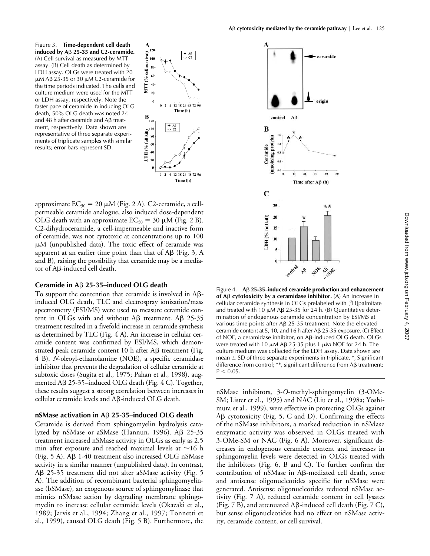Figure 3. **Time-dependent cell death induced by A**- **25-35 and C2-ceramide.** (A) Cell survival as measured by MTT assay. (B) Cell death as determined by LDH assay. OLGs were treated with 20  $μ$ M Aβ 25-35 or 30  $μ$ M C2-ceramide for the time periods indicated. The cells and culture medium were used for the MTT or LDH assay, respectively. Note the faster pace of ceramide in inducing OLG death, 50% OLG death was noted 24 and 48  $h$  after ceramide and A $\beta$  treatment, respectively. Data shown are representative of three separate experiments of triplicate samples with similar results; error bars represent SD.



approximate  $EC_{50} = 20 \mu M$  (Fig. 2 A). C2-ceramide, a cellpermeable ceramide analogue, also induced dose-dependent OLG death with an approximate  $EC_{50} = 30 \mu M$  (Fig. 2 B). C2-dihydroceramide, a cell-impermeable and inactive form of ceramide, was not cytotoxic at concentrations up to 100  $\mu$ M (unpublished data). The toxic effect of ceramide was apparent at an earlier time point than that of A $\beta$  (Fig. 3, A and B), raising the possibility that ceramide may be a mediator of Aß-induced cell death.

#### **Ceramide in A**- **25-35–induced OLG death**

To support the contention that ceramide is involved in  $A\beta$ induced OLG death, TLC and electrospray ionization/mass spectrometry (ESI/MS) were used to measure ceramide content in OLGs with and without A $\beta$  treatment. A $\beta$  25-35 treatment resulted in a fivefold increase in ceramide synthesis as determined by TLC (Fig. 4 A). An increase in cellular ceramide content was confirmed by ESI/MS, which demonstrated peak ceramide content 10 h after A $\beta$  treatment (Fig. 4 B). *N*-oleoyl-ethanolamine (NOE), a specific ceramidase inhibitor that prevents the degradation of cellular ceramide at subtoxic doses (Sugita et al., 1975; Pahan et al., 1998), augmented Aß 25-35–induced OLG death (Fig. 4 C). Together, these results suggest a strong correlation between increases in cellular ceramide levels and Aß-induced OLG death.

#### **nSMase activation in A**- **25-35–induced OLG death**

Ceramide is derived from sphingomyelin hydrolysis catalyzed by nSMase or aSMase (Hannun, 1996). AB 25-35 treatment increased nSMase activity in OLGs as early as 2.5 min after exposure and reached maximal levels at  ${\sim}16$  h (Fig. 5 A). Aß 1-40 treatment also increased OLG nSMase activity in a similar manner (unpublished data). In contrast, Aß 25-35 treatment did not alter aSMase activity (Fig. 5 A). The addition of recombinant bacterial sphingomyelinase (bSMase), an exogenous source of sphingomylinase that mimics nSMase action by degrading membrane sphingomyelin to increase cellular ceramide levels (Okazaki et al., 1989; Jarvis et al., 1994; Zhang et al., 1997; Tonnetti et al., 1999), caused OLG death (Fig. 5 B). Furthermore, the



Figure 4. A<sub>β</sub> 25-35–induced ceramide production and enhancement **of Aβ cytotoxicity by a ceramidase inhibitor.** (A) An increase in cellular ceramide synthesis in OLGs prelabeled with [<sup>3</sup>H]palmitate and treated with 10  $\mu$ M Aß 25-35 for 24 h. (B) Quantitative determination of endogenous ceramide concentration by ESI/MS at various time points after  $\mathsf{AB}$  25-35 treatment. Note the elevated ceramide content at 5, 10, and 16 h after Aβ 25-35 exposure. (C) Effect of NOE, a ceramidase inhibitor, on Aß-induced OLG death. OLGs were treated with 10  $\mu$ M A $\beta$  25-35 plus 1  $\mu$ M NOE for 24 h. The culture medium was collected for the LDH assay. Data shown are mean  $\pm$  SD of three separate experiments in triplicate.  $*$ , Significant  $d$ ifference from control; \*\*, significant difference from A $\beta$  treatment;  $P < 0.05$ .

nSMase inhibitors, 3-*O*-methyl-sphingomyelin (3-OMe-SM; Lister et al., 1995) and NAC (Liu et al., 1998a; Yoshimura et al., 1999), were effective in protecting OLGs against Aß cytotoxicity (Fig. 5, C and D). Confirming the effects of the nSMase inhibitors, a marked reduction in nSMase enzymatic activity was observed in OLGs treated with 3-OMe-SM or NAC (Fig. 6 A). Moreover, significant decreases in endogenous ceramide content and increases in sphingomyelin levels were detected in OLGs treated with the inhibitors (Fig. 6, B and C). To further confirm the contribution of nSMase in Aß-mediated cell death, sense and antisense oligonucleotides specific for nSMase were generated. Antisense oligonucleotides reduced nSMase activity (Fig. 7 A), reduced ceramide content in cell lysates (Fig.  $7$  B), and attenuated A $\beta$ -induced cell death (Fig.  $7$  C), but sense oligonucleotides had no effect on nSMase activity, ceramide content, or cell survival.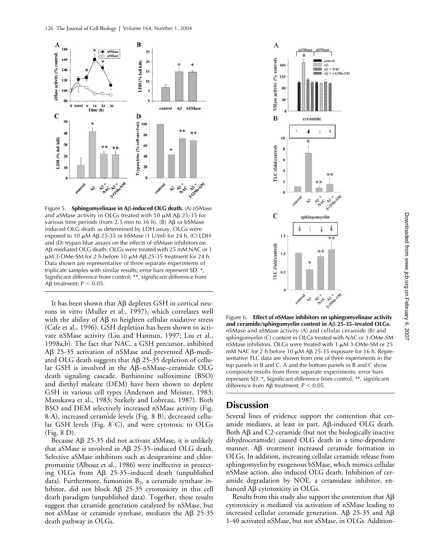

Figure 5. **Sphingomyelinase in Aβ-induced OLG death.** (A) nSMase and aSMase activity in OLGs treated with 10  $\mu$ M AB 25-35 for various time periods (from 2.5 min to 36 h). (B)  $\mathsf{AB}$  or bSMase induced OLG death as determined by LDH assay. OLGs were exposed to 10  $\mu$ M A $\beta$  25-35 or bSMase (1 U/ml) for 24 h. (C) LDH and (D) trypan blue assays on the effects of nSMase inhibitors on Aβ-mediated OLG death. OLGs were treated with 25 mM NAC or 1  $\mu$ M 3-OMe-SM for 2 h before 10  $\mu$ M A $\beta$  25-35 treatment for 24 h. Data shown are representative of three separate experiments of triplicate samples with similar results; error bars represent SD. \*, Significant difference from control; \*\*, significant difference from  $\text{A}\beta$  treatment; P  $\lt$  0.05.

It has been shown that  $A\beta$  depletes GSH in cortical neurons in vitro (Muller et al., 1997), which correlates well with the ability of  $A\beta$  to heighten cellular oxidative stress (Cafe et al., 1996). GSH depletion has been shown to activate nSMase activity (Liu and Hannun, 1997; Liu et al., 1998a,b). The fact that NAC, a GSH precursor, inhibited AB 25-35 activation of nSMase and prevented AB-mediated OLG death suggests that  $\text{AB } 25-35$  depletion of cellular GSH is involved in the Aβ-nSMase-ceramide OLG death signaling cascade. Buthionine sulfoximine (BSO) and diethyl maleate (DEM) have been shown to deplete GSH in various cell types (Anderson and Meister, 1983; Masukawa et al., 1983; Szekely and Lobreau, 1987). Both BSO and DEM selectively increased nSMase activity (Fig. 8 A), increased ceramide levels (Fig. 8 B), decreased cellular GSH levels (Fig. 8 C), and were cytotoxic to OLGs (Fig. 8 D).

Because Aß 25-35 did not activate aSMase, it is unlikely that aSMase is involved in Aß 25-35-induced OLG death. Selective aSMase inhibitors such as desipramine and chlorpromazine (Albouz et al., 1986) were ineffective in protecting OLGs from Aß 25-35-induced death (unpublished data). Furthermore, fumonisin  $B_2$ , a ceramide synthase inhibitor, did not block Aß 25-35 cytotoxicity in this cell death paradigm (unpublished data). Together, these results suggest that ceramide generation catalyzed by nSMase, but not aSMase or ceramide synthase, mediates the A $\beta$  25-35 death pathway in OLGs.



Figure 6. **Effect of nSMase inhibitors on sphingomyelinase activity**  and ceramide/sphingomyelin content in Aß 25-35–treated OLGs. nSMase and aSMase activity (A) and cellular ceramide (B) and sphingomyelin (C) content in OLGs treated with NAC or 3-OMe-SM nSMase inhibitors. OLGs were treated with 1  $\mu$ M 3-OMe-SM or 25 mM NAC for 2 h before 10  $\mu$ M AB 25-35 exposure for 16 h. Representative TLC data are shown from one of three experiments in the top panels in B and C. A and the bottom panels in B and C show composite results from three separate experiments; error bars represent SD. \*, Significant difference from control; \*\*, significant difference from  $\mathsf{AB}$  treatment;  $\mathsf{P} < 0.05$ .

# **Discussion**

Several lines of evidence support the contention that ceramide mediates, at least in part, Aß-induced OLG death. Both Aß and C2-ceramide (but not the biologically inactive dihydroceramide) caused OLG death in a time-dependent manner. Aß treatment increased ceramide formation in OLGs. In addition, increasing cellular ceramide release from sphingomyelin by exogenous bSMase, which mimics cellular nSMase action, also induced OLG death. Inhibition of ceramide degradation by NOE, a ceramidase inhibitor, enhanced Aß cytotoxicity in OLGs.

Results from this study also support the contention that  $A\beta$ cytotoxicity is mediated via activation of nSMase leading to increased cellular ceramide generation. A $\beta$  25-35 and A $\beta$ 1-40 activated nSMase, but not aSMase, in OLGs. Addition-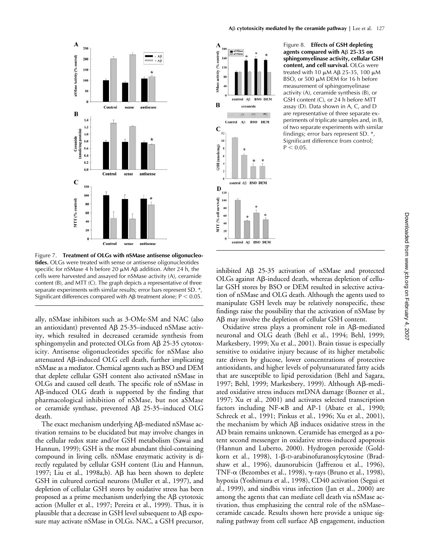

Figure 7. **Treatment of OLGs with nSMase antisense oligonucleotides.** OLGs were treated with sense or antisense oligonucleotides specific for nSMase 4 h before 20  $\mu$ M A $\beta$  addition. After 24 h, the cells were harvested and assayed for nSMase activity (A), ceramide content (B), and MTT (C). The graph depicts a representative of three separate experiments with similar results; error bars represent SD. \*, Significant differences compared with A $\beta$  treatment alone;  $P < 0.05$ .

ally, nSMase inhibitors such as 3-OMe-SM and NAC (also an antioxidant) prevented A $\beta$  25-35–induced nSMase activity, which resulted in decreased ceramide synthesis from sphingomyelin and protected OLGs from Aß 25-35 cytotoxicity. Antisense oligonucleotides specific for nSMase also attenuated Aß-induced OLG cell death, further implicating nSMase as a mediator. Chemical agents such as BSO and DEM that deplete cellular GSH content also activated nSMase in OLGs and caused cell death. The specific role of nSMase in Aß-induced OLG death is supported by the finding that pharmacological inhibition of nSMase, but not aSMase or ceramide synthase, prevented Aß 25-35-induced OLG death.

The exact mechanism underlying  $A\beta$ -mediated nSMase activation remains to be elucidated but may involve changes in the cellular redox state and/or GSH metabolism (Sawai and Hannun, 1999); GSH is the most abundant thiol-containing compound in living cells. nSMase enzymatic activity is directly regulated by cellular GSH content (Liu and Hannun, 1997; Liu et al., 1998a,b).  $\mathsf{AB}$  has been shown to deplete GSH in cultured cortical neurons (Muller et al., 1997), and depletion of cellular GSH stores by oxidative stress has been proposed as a prime mechanism underlying the A $\beta$  cytotoxic action (Muller et al., 1997; Pereira et al., 1999). Thus, it is plausible that a decrease in GSH level subsequent to  $A\beta$  exposure may activate nSMase in OLGs. NAC, a GSH precursor, controll

SMase activity (%  $12($ 

B

 $\mathbf C$ 

GSH

D  $120$ 

MTT (% cell survival)

 $\overline{\mathbf{36}}$ 

60

 $40$ 

 $\overline{20}$ 

 $12$ 

 $\mathbf{1}$ (nmols/mg)

160

 $\overline{\mathbf{3}}$ 

40

control AB

Control  $A\beta$ 

ceramide

control Aß BSO DEM

control AB BSO DEM

**BSO DEM** 

**BSO DEM** 

Figure 8. **Effects of GSH depleting agents compared with A**- **25-35 on sphingomyelinase activity, cellular GSH content, and cell survival.** OLGs were treated with 10  $\mu$ M Aß 25-35, 100  $\mu$ M BSO, or 500  $\mu$ M DEM for 16 h before measurement of sphingomyelinase activity (A), ceramide synthesis (B), or GSH content (C), or 24 h before MTT assay (D). Data shown in A, C, and D are representative of three separate experiments of triplicate samples and, in B, of two separate experiments with similar findings; error bars represent SD. \*, Significant difference from control;  $P < 0.05$ .

inhibited AB 25-35 activation of nSMase and protected OLGs against Aß-induced death, whereas depletion of cellular GSH stores by BSO or DEM resulted in selective activation of nSMase and OLG death. Although the agents used to manipulate GSH levels may be relatively nonspecific, these findings raise the possibility that the activation of nSMase by Aß may involve the depletion of cellular GSH content.

Oxidative stress plays a prominent role in Aß-mediated neuronal and OLG death (Behl et al., 1994; Behl, 1999; Markesbery, 1999; Xu et al., 2001). Brain tissue is especially sensitive to oxidative injury because of its higher metabolic rate driven by glucose, lower concentrations of protective antioxidants, and higher levels of polyunsaturated fatty acids that are susceptible to lipid peroxidation (Behl and Sagara, 1997; Behl, 1999; Markesbery, 1999). Although Aß-mediated oxidative stress induces mtDNA damage (Bozner et al., 1997; Xu et al., 2001) and activates selected transcription factors including NF-KB and AP-1 (Abate et al., 1990; Schreck et al., 1991; Pinkus et al., 1996; Xu et al., 2001), the mechanism by which  $\text{AB}$  induces oxidative stress in the AD brain remains unknown. Ceramide has emerged as a potent second messenger in oxidative stress-induced apoptosis (Hannun and Luberto, 2000). Hydrogen peroxide (Goldkorn et al., 1998), 1-β-D-arabinofuranosylcytosine (Bradshaw et al., 1996), daunorubicin (Jaffrezou et al., 1996), TNF-α (Bezombes et al., 1998), γ-rays (Bruno et al., 1998), hypoxia (Yoshimura et al., 1998), CD40 activation (Segui et al., 1999), and sindbis virus infection (Jan et al., 2000) are among the agents that can mediate cell death via nSMase activation, thus emphasizing the central role of the nSMase– ceramide cascade. Results shown here provide a unique signaling pathway from cell surface Aß engagement, induction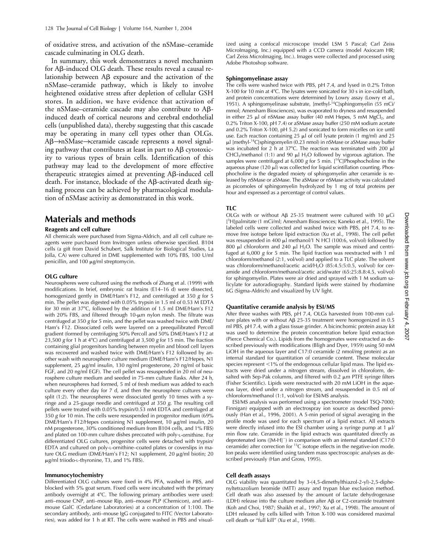of oxidative stress, and activation of the nSMase–ceramide cascade culminating in OLG death.

In summary, this work demonstrates a novel mechanism for Aß-induced OLG death. These results reveal a causal relationship between A $\beta$  exposure and the activation of the nSMase–ceramide pathway, which is likely to involve heightened oxidative stress after depletion of cellular GSH stores. In addition, we have evidence that activation of the nSMase-ceramide cascade may also contribute to  $A\beta$ induced death of cortical neurons and cerebral endothelial cells (unpublished data), thereby suggesting that this cascade may be operating in many cell types other than OLGs. Aβ→nSMase→ceramide cascade represents a novel signaling pathway that contributes at least in part to  $A\beta$  cytotoxicity to various types of brain cells. Identification of this pathway may lead to the development of more effective therapeutic strategies aimed at preventing Aß-induced cell death. For instance, blockade of the Aß-activated death signaling process can be achieved by pharmacological modulation of nSMase activity as demonstrated in this work.

## **Materials and methods**

#### **Reagents and cell culture**

All chemicals were purchased from Sigma-Aldrich, and all cell culture reagents were purchased from Invitrogen unless otherwise specified. B104 cells (a gift from David Schubert, Salk Institute for Biological Studies, La Jolla, CA) were cultured in DME supplemented with 10% FBS, 100 U/ml penicillin, and 100  $\mu$ g/ml streptomycin.

#### **OLG culture**

Neurospheres were cultured using the methods of Zhang et al. (1999) with modifications. In brief, embryonic rat brains (E14–16 d) were dissected, homogenized gently in DME/Ham's F12, and centrifuged at 350 *g* for 5 min. The pellet was digested with 0.05% trypsin in 1.5 ml of 0.53 M EDTA for 30 min at 37°C, followed by the addition of 1.5 ml DME/Ham's F12 with 20% FBS, and filtered through 10-um nylon mesh. The filtrate was centrifuged at 350 *g* for 5 min, and the pellet was washed twice with DME/ Ham's F12. Dissociated cells were layered on a preequilibrated Percoll gradient (formed by centrifuging 50% Percoll and 50% DME/Ham's F12 at 23,500 *g* for 1 h at 4C) and centrifuged at 3,500 *g* for 15 min. The fraction containing glial progenitors banding between myelin and blood cell layers was recovered and washed twice with DME/Ham's F12 followed by another wash with neurosphere culture medium (DME/Ham's F12/Hepes, N1 supplement,  $25 \mu g/ml$  insulin,  $130 \text{ ng/ml}$  progesterone,  $20 \text{ ng/ml}$  of basic FGF, and 20 ng/ml EGF). The cell pellet was resuspended in 20 ml of neurosphere culture medium and seeded in 75-mm culture flasks. After 24 h, when neurospheres had formed, 5 ml of fresh medium was added to each culture every other day for 7 d, and then the neurosphere cultures were split  $(1:2)$ . The neurospheres were dissociated gently 10 times with a syringe and a 25-gauge needle and centrifuged at 350 *g*. The resulting cell pellets were treated with 0.05% trypsin/0.53 mM EDTA and centrifuged at 350 *g* for 10 min. The cells were resuspended in progenitor medium (69% DME/Ham's F12/Hepes containing N1 supplement, 10 µg/ml insulin, 20 nM progesterone, 30% conditioned medium from B104 cells, and 1% FBS) and plated on 100-mm culture dishes precoated with poly-L-ornithine. For differentiated OLG cultures, progenitor cells were detached with trypsin/ EDTA and cultured on poly-L-ornithine–coated plates or coverslips in mature OLG medium (DME/Ham's F12; N1 supplement, 20 μg/ml biotin; 20 μg/ml triiodo-L-thyronine, T3, and 1% FBS).

#### **Immunocytochemistry**

Differentiated OLG cultures were fixed in 4% PFA, washed in PBS, and blocked with 5% goat serum. Fixed cells were incubated with the primary antibody overnight at 4°C. The following primary antibodies were used: anti–mouse CNP, anti–mouse Rip, anti–mouse PLP (Chemicon), and anti– mouse GalC (Cedarlane Laboratories) at a concentration of 1:100. The secondary antibody, anti–mouse IgG conjugated to FITC (Vector Laboratories), was added for 1 h at RT. The cells were washed in PBS and visual-

ized using a confocal microscope (model LSM 5 Pascal; Carl Zeiss MicroImaging, Inc.) equipped with a CCD camera (model Axiocam HR; Carl Zeiss MicroImaging, Inc.). Images were collected and processed using Adobe Photoshop software.

#### **Sphingomyelinase assay**

The cells were washed twice with PBS, pH 7.4, and lysed in 0.2% Triton X-100 for 10 min at 4°C. The lysates were sonicated for  $30 s$  in ice-cold bath, and protein concentrations were determined by Lowry assay (Lowry et al., 1951). A sphingomyelinase substrate, [methyl- $14C$ ]sphingomyelin (55 mCi/ mmol; Amersham Biosciences), was evaporated to dryness and resuspended in either 25  $\mu$ l of nSMase assay buffer (40 mM Hepes, 5 mM MgCl<sub>2</sub>, and 0.2% Triton X-100, pH 7.4) or aSMase assay buffer (250 mM sodium acetate and 0.2% Triton X-100, pH 5.2) and sonicated to form micelles on ice until use. Each reaction containing 25  $\mu$ l of cell lysate protein (1 mg/ml) and 25 µl [methyl-<sup>14</sup>C]sphingomyelin (0.23 nmol) in nSMase or aSMase assay buffer was incubated for 2 h at 37°C. The reaction was terminated with 200  $\mu$ l CHCl<sub>3</sub>/methanol (1:1) and 90  $\mu$ l H<sub>2</sub>O followed by vigorous agitation. The samples were centrifuged at 6,000 *g* for 5 min. [<sup>14</sup>C]Phosphocholine in the aqueous phase (120  $\mu$ ) was collected for liquid scintillation counting. Phosphocholine is the degraded moiety of sphingomyelin after ceramide is released by nSMase or aSMase. The aSMase or nSMase activity was calculated as picomoles of sphingomyelin hydrolyzed by 1 mg of total proteins per hour and expressed as a percentage of control values.

#### **TLC**

OLGs with or without A $\beta$  25-35 treatment were cultured with 10  $\mu$ Ci [ 3 H]palmitate (1 mCi/ml; Amersham Biosciences; Kaneko et al., 1995). The labeled cells were collected and washed twice with PBS, pH 7.4, to remove free isotope before lipid extraction (Xu et al., 1998). The cell pellet was resuspended in 400 µl methanol/1 N HCl (100:6, vol/vol) followed by 800  $\mu$ l chloroform and 240  $\mu$ l H<sub>2</sub>O. The sample was mixed and centrifuged at 6,000 *g* for 5 min. The lipid fraction was reextracted with 1 ml chloroform/methanol (2:1, vol/vol) and applied to a TLC plate. The solvent was chloroform/methanol/acetic acid/H<sub>2</sub>O (85:4.5:5:0.5, vol/vol) for ceramide and chloroform/methanol/acetic acid/water (65:25:8.8:4.5, vol/vol) for sphingomyelin. Plates were air dried and sprayed with 1 M sodium salicylate for autoradiography. Standard lipids were stained by rhodamine 6G (Sigma-Aldrich) and visualized by UV light.

#### **Quantitative ceramide analysis by ESI/MS**

After three washes with PBS, pH 7.4, OLGs harvested from 100-mm culture plates with or without A $\beta$  25-35 treatment were homogenized in 0.5 ml PBS, pH 7.4, with a glass tissue grinder. A bicinchomic protein assay kit was used to determine the protein concentration before lipid extraction (Pierce Chemical Co.). Lipids from the homogenates were extracted as described previously with modifications (Bligh and Dyer, 1959) using 50 mM LiOH in the aqueous layer and C17:0 ceramide (2 nmol/mg protein) as an internal standard for quantitation of ceramide content. These molecular species represent  $\leq 1\%$  of the endogenous cellular lipid mass. The lipid extracts were dried under a nitrogen stream, dissolved in chloroform, desalted with Sep-Pak columns, and filtered with 0.2  $\mu$ m PTFE syringe filters (Fisher Scientific). Lipids were reextracted with 20 mM LiOH in the aqueous layer, dried under a nitrogen stream, and resuspended in 0.5 ml of chloroform/methanol (1:1, vol/vol) for ESI/MS analysis.

ESI/MS analysis was performed using a spectrometer (model TSQ-7000; Finnigan) equipped with an electrospray ion source as described previously (Han et al., 1996, 2001). A 5-min period of signal averaging in the profile mode was used for each spectrum of a lipid extract. All extracts were directly infused into the ESI chamber using a syringe pump at 1  $\mu$ // min flow rate. Ceramide in the lipid extracts was quantitated directly as deprotenated ions ( $[M-H]$ ) in comparison with an internal standard ( $C17:0$ ceramide) after correction for  ${}^{13}C$  isotope effects in the negative-ion mode. Ion peaks were identified using tandem mass spectroscopic analyses as described previously (Han and Gross, 1995).

#### **Cell death assays**

OLG viability was quantitated by 3-(4,5-dimethylthiazol-2-yl)-2,5-diphenyltetrazolium bromide (MTT) assay and trypan blue exclusion method. Cell death was also assessed by the amount of lactate dehydrogenase  $(LDH)$  release into the culture medium after A $\beta$  or C2-ceramide treatment (Koh and Choi, 1987; Shaikh et al., 1997; Xu et al., 1998). The amount of LDH released by cells killed with Triton X-100 was considered maximal cell death or "full kill" (Xu et al., 1998).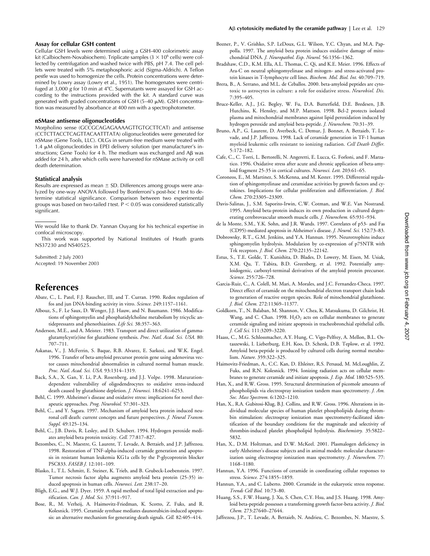#### **Assay for cellular GSH content**

Cellular GSH levels were determined using a GSH-400 colorimetric assay kit (Calbiochem-Novabiochem). Triplicate samples  $(3 \times 10^6 \text{ cells})$  were collected by centrifugation and washed twice with PBS, pH 7.4. The cell pellets were treated with 5% metaphosphoric acid (Sigma-Aldrich). A Teflon pestle was used to homogenize the cells. Protein concentrations were determined by Lowry assay (Lowry et al., 1951). The homogenates were centrifuged at 3,000 *g* for 10 min at 4°C. Supernatants were assayed for GSH according to the instructions provided with the kit. A standard curve was generated with graded concentrations of GSH  $(5-40 \mu M)$ . GSH concentration was measured by absorbance at 400 nm with a spectrophotometer.

#### **nSMase antisense oligonucleotides**

Morpholino sense (GCCGCAGAGAAAAGTTGTGCTTCAT) and antisense (CCTCTTACCTCAGTTACAATTTATA) oligonucleotides were generated for nSMase (Gene Tools, LLC). OLGs in serum-free medium were treated with  $1.4 \mu$ M oligonucleotides in EPEI delivery solution (per manufacturer's instructions; Gene Tools) for 4 h. The medium was exchanged and A $\beta$  was added for 24 h, after which cells were harvested for nSMase activity or cell death determination.

#### **Statistical analysis**

Results are expressed as mean  $\pm$  SD. Differences among groups were analyzed by one-way ANOVA followed by Bonferroni's post-hoc *t* test to determine statistical significance. Comparison between two experimental groups was based on two-tailed  $t$  test.  $P < 0.05$  was considered statistically significant.

We would like to thank Dr. Yannan Ouyang for his technical expertise in confocal microscopy.

This work was supported by National Institutes of Heath grants NS37230 and NS40525.

Submitted: 2 July 2003 Accepted: 19 November 2003

## **References**

- Abate, C., L. Patel, F.J. Rauscher, III, and T. Curran. 1990. Redox regulation of fos and jun DNA-binding activity in vitro. *Science.* 249:1157–1161.
- Albouz, S., F. Le Saux, D. Wenger, J.J. Hauw, and N. Baumann. 1986. Modifications of sphingomyelin and phosphatidylcholine metabolism by tricyclic antidepressants and phenothiazines. *Life Sci.* 38:357–363.
- Anderson, M.E., and A. Meister. 1983. Transport and direct utilization of gammaglutamylcyst(e)ine for glutathione synthesis. *Proc. Natl. Acad. Sci. USA.* 80: 707–711.
- Askanas, V., J. McFerrin, S. Baque, R.B. Alvarez, E. Sarkozi, and W.K. Engel. 1996. Transfer of beta-amyloid precursor protein gene using adenovirus vector causes mitochondrial abnormalities in cultured normal human muscle. *Proc. Natl. Acad. Sci. USA.* 93:1314–1319.
- Back, S.A., X. Gan, Y. Li, P.A. Rosenberg, and J.J. Volpe. 1998. Maturationdependent vulnerability of oligodendrocytes to oxidative stress-induced death caused by glutathione depletion. *J. Neurosci.* 18:6241–6253.
- Behl, C. 1999. Alzheimer's disease and oxidative stress: implications for novel therapeutic approaches. *Prog. Neurobiol.* 57:301–323.
- Behl, C., and Y. Sagara. 1997. Mechanism of amyloid beta protein induced neuronal cell death: current concepts and future perspectives. *J. Neural Transm. Suppl.* 49:125–134.
- Behl, C., J.B. Davis, R. Lesley, and D. Schubert. 1994. Hydrogen peroxide mediates amyloid beta protein toxicity. *Cell.* 77:817–827.
- Bezombes, C., N. Maestre, G. Laurent, T. Levade, A. Bettaieb, and J.P. Jaffrezou. 1998. Restoration of TNF-alpha-induced ceramide generation and apoptosis in resistant human leukemia KG1a cells by the P-glycoprotein blocker PSC833. *FASEB J.* 12:101–109.
- Blasko, I., T.L. Schmitt, E. Steiner, K. Trieb, and B. Grubeck-Loebenstein. 1997. Tumor necrosis factor alpha augments amyloid beta protein (25-35) induced apoptosis in human cells. *Neurosci. Lett.* 238:17–20.
- Bligh, E.G., and W.J. Dyer. 1959. A rapid method of total lipid extraction and purification. *Can. J. Med. Sci.* 37:911–917.
- Bose, R., M. Verheij, A. Haimovitz-Friedman, K. Scotto, Z. Fuks, and R. Kolesnick. 1995. Ceramide synthase mediates daunorubicin-induced apoptosis: an alternative mechanism for generating death signals. *Cell.* 82:405–414.
- Bozner, P., V. Grishko, S.P. LeDoux, G.L. Wilson, Y.C. Chyan, and M.A. Pappolla. 1997. The amyloid beta protein induces oxidative damage of mitochondrial DNA. *J. Neuropathol. Exp. Neurol.* 56:1356–1362.
- Bradshaw, C.D., K.M. Ella, A.L. Thomas, C. Qi, and K.E. Meier. 1996. Effects of Ara-C on neutral sphingomyelinase and mitogen- and stress-activated protein kinases in T-lymphocyte cell lines. *Biochem. Mol. Biol. Int.* 40:709–719.
- Brera, B., A. Serrano, and M.L. de Ceballos. 2000. beta-amyloid peptides are cytotoxic to astrocytes in culture: a role for oxidative stress. *Neurobiol. Dis.* 7:395–405.
- Bruce-Keller, A.J., J.G. Begley, W. Fu, D.A. Butterfield, D.E. Bredesen, J.B. Hutchins, K. Hensley, and M.P. Mattson. 1998. Bcl-2 protects isolated plasma and mitochondrial membranes against lipid peroxidation induced by hydrogen peroxide and amyloid beta-peptide. *J. Neurochem.* 70:31–39.
- Bruno, A.P., G. Laurent, D. Averbeck, C. Demur, J. Bonnet, A. Bettaieb, T. Levade, and J.P. Jaffrezou. 1998. Lack of ceramide generation in TF-1 human myeloid leukemic cells resistant to ionizing radiation. *Cell Death Differ.* 5:172–182.
- Cafe, C., C. Torri, L. Bertorelli, N. Angeretti, E. Lucca, G. Forloni, and F. Marzatico. 1996. Oxidative stress after acute and chronic application of beta-amyloid fragment 25-35 in cortical cultures. *Neurosci. Lett.* 203:61–65.
- Coroneos, E., M. Martinez, S. McKenna, and M. Kester. 1995. Differential regulation of sphingomyelinase and ceramidase activities by growth factors and cytokines. Implications for cellular proliferation and differentiation. *J. Biol. Chem.* 270:23305–23309.
- Davis-Salinas, J., S.M. Saporito-Irwin, C.W. Cotman, and W.E. Van Nostrand. 1995. Amyloid beta-protein induces its own production in cultured degenerating cerebrovascular smooth muscle cells. *J. Neurochem.* 65:931–934.
- de la Monte, S.M., Y.K. Sohn, and J.R. Wands. 1997. Correlates of p53- and Fas (CD95)-mediated apoptosis in Alzheimer's disease. *J. Neurol. Sci.* 152:73–83.
- Dobrowsky, R.T., G.M. Jenkins, and Y.A. Hannun. 1995. Neurotrophins induce sphingomyelin hydrolysis. Modulation by co-expression of p75NTR with Trk receptors. *J. Biol. Chem.* 270:22135–22142.
- Estus, S., T.E. Golde, T. Kunishita, D. Blades, D. Lowery, M. Eisen, M. Usiak, X.M. Qu, T. Tabira, B.D. Greenberg, et al. 1992. Potentially amyloidogenic, carboxyl-terminal derivatives of the amyloid protein precursor. *Science.* 255:726–728.
- Garcia-Ruiz, C., A. Colell, M. Mari, A. Morales, and J.C. Fernandez-Checa. 1997. Direct effect of ceramide on the mitochondrial electron transport chain leads to generation of reactive oxygen species. Role of mitochondrial glutathione. *J. Biol. Chem.* 272:11369–11377.
- Goldkorn, T., N. Balaban, M. Shannon, V. Chea, K. Matsukuma, D. Gilchrist, H. Wang, and C. Chan. 1998.  $H_2O_2$  acts on cellular membranes to generate ceramide signaling and initiate apoptosis in tracheobronchial epithelial cells. *J. Cell Sci.* 111:3209–3220.
- Haass, C., M.G. Schlossmacher, A.Y. Hung, C. Vigo-Pelfrey, A. Mellon, B.L. Ostaszewski, I. Lieberburg, E.H. Koo, D. Schenk, D.B. Teplow, et al. 1992. Amyloid beta-peptide is produced by cultured cells during normal metabolism. *Nature.* 359:322–325.
- Haimovitz-Friedman, A., C.C. Kan, D. Ehleiter, R.S. Persaud, M. McLoughlin, Z. Fuks, and R.N. Kolesnick. 1994. Ionizing radiation acts on cellular membranes to generate ceramide and initiate apoptosis. *J. Exp. Med.* 180:525–535.
- Han, X., and R.W. Gross. 1995. Structural determination of picomole amounts of phospholipids via electrospray ionization tandem mass spectrometry. *J. Am. Soc. Mass Spectrom.* 6:1202–1210.
- Han, X., R.A. Gubitosi-Klug, B.J. Collins, and R.W. Gross. 1996. Alterations in individual molecular species of human platelet phospholipids during thrombin stimulation: electrospray ionization mass spectrometry-facilitated identification of the boundary conditions for the magnitude and selectivity of thrombin-induced platelet phospholipid hydrolysis. *Biochemistry.* 35:5822– 5832.
- Han, X., D.M. Holtzman, and D.W. McKeel. 2001. Plasmalogen deficiency in early Alzheimer's disease subjects and in animal models: molecular characterization using electrospray ionization mass spectrometry. *J. Neurochem.* 77: 1168–1180.
- Hannun, Y.A. 1996. Functions of ceramide in coordinating cellular responses to stress. *Science.* 274:1855–1859.
- Hannun, Y.A., and C. Luberto. 2000. Ceramide in the eukaryotic stress response. *Trends Cell Biol.* 10:73–80.
- Huang, S.S., F.W. Huang, J. Xu, S. Chen, C.Y. Hsu, and J.S. Huang. 1998. Amyloid beta-peptide possesses a transforming growth factor-beta activity. *J. Biol. Chem.* 273:27640–27644.
- Jaffrezou, J.P., T. Levade, A. Bettaieb, N. Andrieu, C. Bezombes, N. Maestre, S.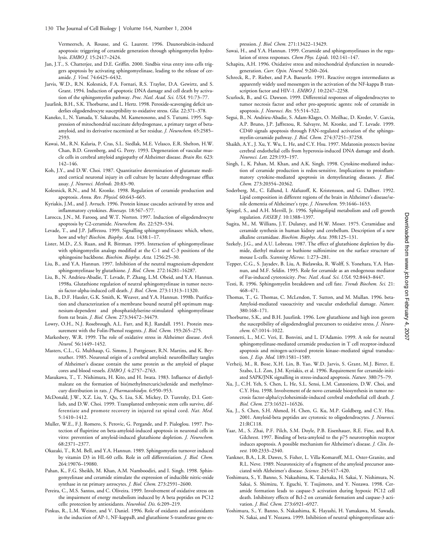Vermeersch, A. Rousse, and G. Laurent. 1996. Daunorubicin-induced apoptosis: triggering of ceramide generation through sphingomyelin hydrolysis. *EMBO J.* 15:2417–2424.

- Jan, J.T., S. Chatterjee, and D.E. Griffin. 2000. Sindbis virus entry into cells triggers apoptosis by activating sphingomyelinase, leading to the release of ceramide. *J. Virol.* 74:6425–6432.
- Jarvis, W.D., R.N. Kolesnick, F.A. Fornari, R.S. Traylor, D.A. Gewirtz, and S. Grant. 1994. Induction of apoptotic DNA damage and cell death by activation of the sphingomyelin pathway. *Proc. Natl. Acad. Sci. USA.* 91:73–77.
- Juurlink, B.H., S.K. Thorburne, and L. Hertz. 1998. Peroxide-scavenging deficit underlies oligodendrocyte susceptibility to oxidative stress. *Glia.* 22:371–378.
- Kaneko, I., N. Yamada, Y. Sakuraba, M. Kamenosono, and S. Tutumi. 1995. Suppression of mitochondrial succinate dehydrogenase, a primary target of betaamyloid, and its derivative racemized at Ser residue. *J. Neurochem.* 65:2585– 2593.
- Kawai, M., R.N. Kalaria, P. Cras, S.L. Siedlak, M.E. Velasco, E.R. Shelton, H.W. Chan, B.D. Greenberg, and G. Perry. 1993. Degeneration of vascular muscle cells in cerebral amyloid angiopathy of Alzheimer disease. *Brain Res.* 623: 142–146.
- Koh, J.Y., and D.W. Choi. 1987. Quantitative determination of glutamate mediated cortical neuronal injury in cell culture by lactate dehydrogenase efflux assay. *J. Neurosci. Methods.* 20:83–90.
- Kolesnick, R.N., and M. Kronke. 1998. Regulation of ceramide production and apoptosis. *Annu. Rev. Physiol.* 60:643–665.
- Kyriakis, J.M., and J. Avruch. 1996. Protein kinase cascades activated by stress and inflammatory cytokines. *Bioessays.* 18:567–577.
- Larocca, J.N., M. Farooq, and W.T. Norton. 1997. Induction of oligodendrocyte apoptosis by C2-ceramide. *Neurochem. Res.* 22:529–534.
- Levade, T., and J.P. Jaffrezou. 1999. Signalling sphingomyelinases: which, where, how and why? *Biochim. Biophys. Acta.* 1438:1–17.
- Lister, M.D., Z.S. Ruan, and R. Bittman. 1995. Interaction of sphingomyelinase with sphingomyelin analogs modified at the C-1 and C-3 positions of the sphingosine backbone. *Biochim. Biophys. Acta.* 1256:25–30.
- Liu, B., and Y.A. Hannun. 1997. Inhibition of the neutral magnesium-dependent sphingomyelinase by glutathione. *J. Biol. Chem.* 272:16281–16287.
- Liu, B., N. Andrieu-Abadie, T. Levade, P. Zhang, L.M. Obeid, and Y.A. Hannun. 1998a. Glutathione regulation of neutral sphingomyelinase in tumor necrosis factor-alpha-induced cell death. *J. Biol. Chem.* 273:11313–11320.
- Liu, B., D.F. Hassler, G.K. Smith, K. Weaver, and Y.A. Hannun. 1998b. Purification and characterization of a membrane bound neutral pH optimum magnesium-dependent and phosphatidylserine-stimulated sphingomyelinase from rat brain. *J. Biol. Chem.* 273:34472–34479.
- Lowry, O.H., N.J. Rosebrough, A.L. Farr, and R.J. Randall. 1951. Protein measurement with the Folin-Phenol reagents. *J. Biol. Chem.* 193:265–275.
- Markesbery, W.R. 1999. The role of oxidative stress in Alzheimer disease. *Arch. Neurol.* 56:1449–1452.
- Masters, C.L., G. Multhaup, G. Simms, J. Pottgiesser, R.N. Martins, and K. Beyreuther. 1985. Neuronal origin of a cerebral amyloid: neurofibrillary tangles of Alzheimer's disease contain the same protein as the amyloid of plaque cores and blood vessels. *EMBO J.* 4:2757–2763.
- Masukawa, T., T. Nishimura, H. Kito, and H. Iwata. 1983. Influence of diethylmaleate on the formation of bis(methylmercuric)selenide and methylmercury distribution in rats. *J. Pharmacobiodyn.* 6:950–953.
- McDonald, J.W., X.Z. Liu, Y. Qu, S. Liu, S.K. Mickey, D. Turetsky, D.I. Gottlieb, and D.W. Choi. 1999. Transplanted embryonic stem cells survive, differentiate and promote recovery in injured rat spinal cord. *Nat. Med.* 5:1410–1412.
- Muller, W.E., F.J. Romero, S. Perovic, G. Pergande, and P. Pialoglou. 1997. Protection of flupirtine on beta-amyloid-induced apoptosis in neuronal cells in vitro: prevention of amyloid-induced glutathione depletion. *J. Neurochem.* 68:2371–2377.
- Okazaki, T., R.M. Bell, and Y.A. Hannun. 1989. Sphingomyelin turnover induced by vitamin D3 in HL-60 cells. Role in cell differentiation. *J. Biol. Chem.* 264:19076–19080.
- Pahan, K., F.G. Sheikh, M. Khan, A.M. Namboodiri, and I. Singh. 1998. Sphingomyelinase and ceramide stimulate the expression of inducible nitric-oxide synthase in rat primary astrocytes. *J. Biol. Chem.* 273:2591–2600.
- Pereira, C., M.S. Santos, and C. Oliveira. 1999. Involvement of oxidative stress on the impairment of energy metabolism induced by A beta peptides on PC12 cells: protection by antioxidants. *Neurobiol. Dis.* 6:209–219.
- Pinkus, R., L.M. Weiner, and V. Daniel. 1996. Role of oxidants and antioxidants in the induction of AP-1, NF-kappaB, and glutathione S-transferase gene ex-

pression. *J. Biol. Chem.* 271:13422–13429.

- Sawai, H., and Y.A. Hannun. 1999. Ceramide and sphingomyelinases in the regulation of stress responses. *Chem Phys. Lipids.* 102:141–147.
- Schapira, A.H. 1996. Oxidative stress and mitochondrial dysfunction in neurodegeneration. *Curr. Opin. Neurol.* 9:260–264.
- Schreck, R., P. Rieber, and P.A. Baeuerle. 1991. Reactive oxygen intermediates as apparently widely used messengers in the activation of the NF-kappa B transcription factor and HIV-1. *EMBO J.* 10:2247–2258.
- Scurlock, B., and G. Dawson. 1999. Differential responses of oligodendrocytes to tumor necrosis factor and other pro-apoptotic agents: role of ceramide in apoptosis. *J. Neurosci. Res.* 55:514–522.
- Segui, B., N. Andrieu-Abadie, S. Adam-Klages, O. Meilhac, D. Kreder, V. Garcia, A.P. Bruno, J.P. Jaffrezou, R. Salvayre, M. Kronke, and T. Levade. 1999. CD40 signals apoptosis through FAN-regulated activation of the sphingomyelin-ceramide pathway. *J. Biol. Chem.* 274:37251–37258.
- Shaikh, A.Y., J. Xu, Y. Wu, L. He, and C.Y. Hsu. 1997. Melatonin protects bovine cerebral endothelial cells from hyperoxia-induced DNA damage and death. *Neurosci. Lett.* 229:193–197.
- Singh, I., K. Pahan, M. Khan, and A.K. Singh. 1998. Cytokine-mediated induction of ceramide production is redox-sensitive. Implications to proinflammatory cytokine-mediated apoptosis in demyelinating diseases. *J. Biol. Chem.* 273:20354–20362.
- Soderberg, M., C. Edlund, I. Alafuzoff, K. Kristensson, and G. Dallner. 1992. Lipid composition in different regions of the brain in Alzheimer's disease/senile dementia of Alzheimer's type. *J. Neurochem.* 59:1646–1653.
- Spiegel, S., and A.H. Merrill, Jr. 1996. Sphingolipid metabolism and cell growth regulation. *FASEB J.* 10:1388–1397.
- Sugita, M., M. Willians, J.T. Dulaney, and H.W. Moser. 1975. Ceramidase and ceramide synthesis in human kidney and cerebellum. Description of a new alkaline ceramidase. *Biochim. Biophys. Acta.* 398:125–131.
- Szekely, J.G., and A.U. Lobreau. 1987. The effect of glutathione depletion by diamide, diethyl maleate or buthione sulfoximine on the surface structure of mouse L-cells. *Scanning Microsc.* 1:273–281.
- Tepper, C.G., S. Jayadev, B. Liu, A. Bielawska, R. Wolff, S. Yonehara, Y.A. Hannun, and M.F. Seldin. 1995. Role for ceramide as an endogenous mediator of Fas-induced cytotoxicity. *Proc. Natl. Acad. Sci. USA.* 92:8443–8447.
- Testi, R. 1996. Sphingomyelin breakdown and cell fate. *Trends Biochem. Sci.* 21: 468–471.
- Thomas, T., G. Thomas, C. McLendon, T. Sutton, and M. Mullan. 1996. beta-Amyloid-mediated vasoactivity and vascular endothelial damage. *Nature.* 380:168–171.
- Thorburne, S.K., and B.H. Juurlink. 1996. Low glutathione and high iron govern the susceptibility of oligodendroglial precursors to oxidative stress. *J. Neurochem.* 67:1014–1022.
- Tonnetti, L., M.C. Veri, E. Bonvini, and L. D'Adamio. 1999. A role for neutral sphingomyelinase-mediated ceramide production in T cell receptor-induced apoptosis and mitogen-activated protein kinase–mediated signal transduction. *J. Exp. Med.* 189:1581–1589.
- Verheij, M., R. Bose, X.H. Lin, B. Yao, W.D. Jarvis, S. Grant, M.J. Birrer, E. Szabo, L.I. Zon, J.M. Kyriakis, et al. 1996. Requirement for ceramide-initiated SAPK/JNK signalling in stress-induced apoptosis. *Nature.* 380:75–79.
- Xu, J., C.H. Yeh, S. Chen, L. He, S.L. Sensi, L.M. Canzoniero, D.W. Choi, and C.Y. Hsu. 1998. Involvement of de novo ceramide biosynthesis in tumor necrosis factor-alpha/cycloheximide-induced cerebral endothelial cell death. *J. Biol. Chem.* 273:16521–16526.
- Xu, J., S. Chen, S.H. Ahmed, H. Chen, G. Ku, M.P. Goldberg, and C.Y. Hsu. 2001. Amyloid-beta peptides are cytotoxic to oligodendrocytes. *J. Neurosci.* 21:RC118.
- Yaar, M., S. Zhai, P.F. Pilch, S.M. Doyle, P.B. Eisenhauer, R.E. Fine, and B.A. Gilchrest. 1997. Binding of beta-amyloid to the p75 neurotrophin receptor induces apoptosis. A possible mechanism for Alzheimer's disease. *J. Clin. Invest.* 100:2333–2340.
- Yankner, B.A., L.R. Dawes, S. Fisher, L. Villa-Komaroff, M.L. Oster-Granite, and R.L. Neve. 1989. Neurotoxicity of a fragment of the amyloid precursor associated with Alzheimer's disease. *Science.* 245:417–420.
- Yoshimura, S., Y. Banno, S. Nakashima, K. Takenaka, H. Sakai, Y. Nishimura, N. Sakai, S. Shimizu, Y. Eguchi, Y. Tsujimoto, and Y. Nozawa. 1998. Ceramide formation leads to caspase-3 activation during hypoxic PC12 cell death. Inhibitory effects of Bcl-2 on ceramide formation and caspase-3 activation. *J. Biol. Chem.* 273:6921–6927.
- Yoshimura, S., Y. Banno, S. Nakashima, K. Hayashi, H. Yamakawa, M. Sawada, N. Sakai, and Y. Nozawa. 1999. Inhibition of neutral sphingomyelinase acti-